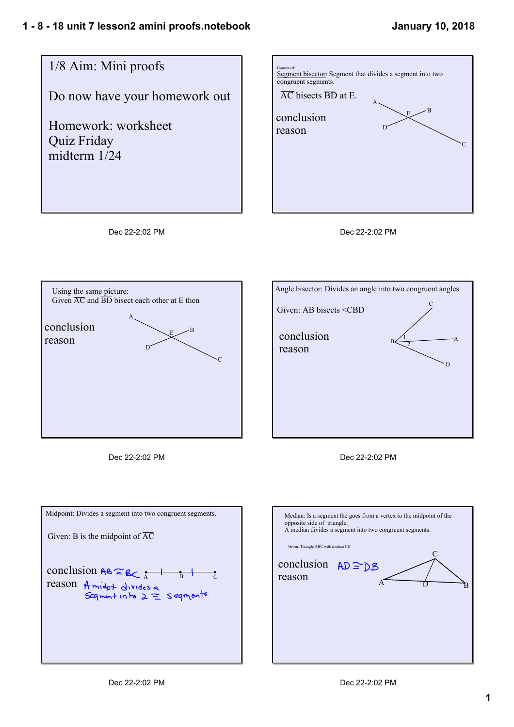







Dec 22-2:02 PM



Dec 22-2:02 PM



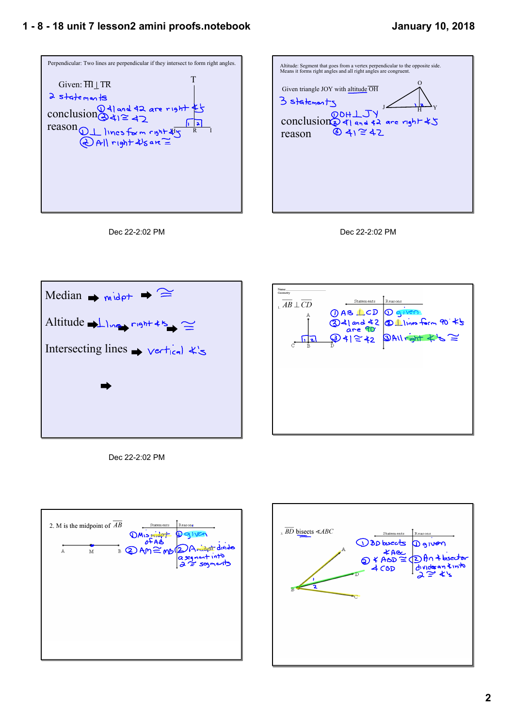## **1 8 18 unit 7 lesson2 amini proofs.notebook**



| Altitude: Segment that goes from a vertex perpendicular to the opposite side.<br>Means it forms right angles and all right angles are congruent.         |
|----------------------------------------------------------------------------------------------------------------------------------------------------------|
| Given triangle JOY with altitude OH<br>3 statements<br>CONCLUSION $\bigotimes_{q \mid q_{nd} \neq 2}^{\infty}$ are right $\neq 5$<br>© 4) ≅ 42<br>reason |
|                                                                                                                                                          |
|                                                                                                                                                          |







Dec 22-2:02 PM



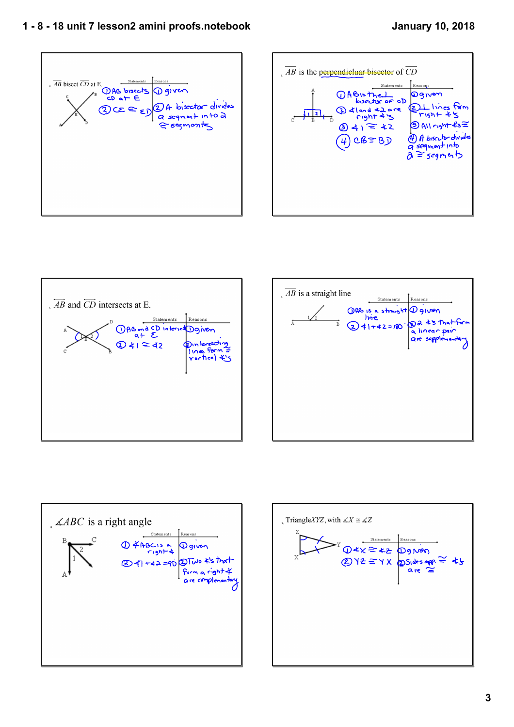## **1 8 18 unit 7 lesson2 amini proofs.notebook**











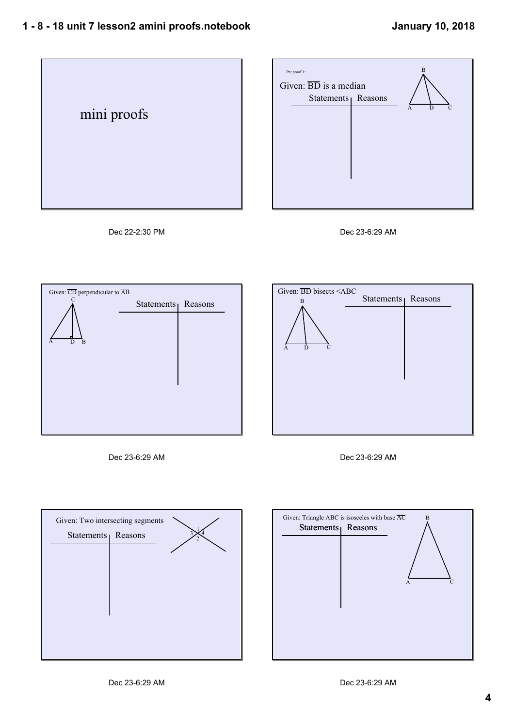













Dec 23-6:29 AM



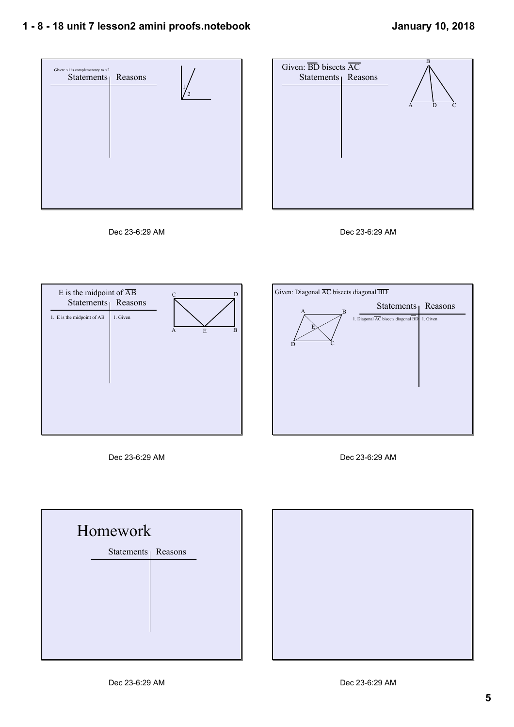## **1 8 18 unit 7 lesson2 amini proofs.notebook**











Dec 23-6:29 AM





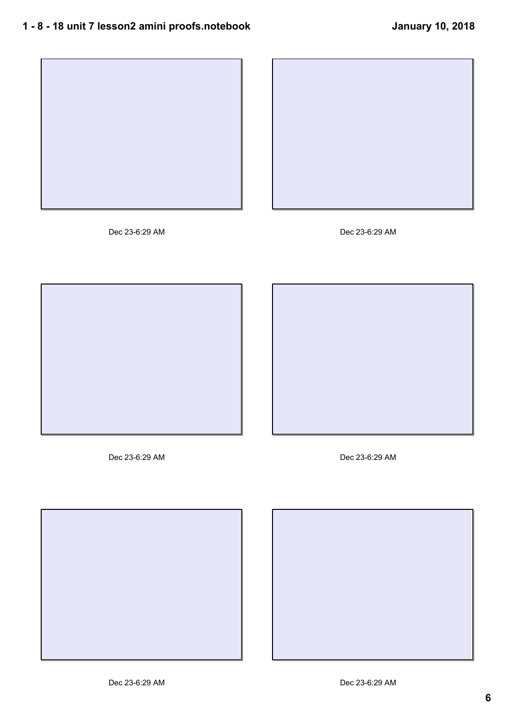



Dec 23-6:29 AM Dec 23-6:29 AM





Dec 23-6:29 AM Dec 23-6:29 AM



![](_page_5_Picture_10.jpeg)